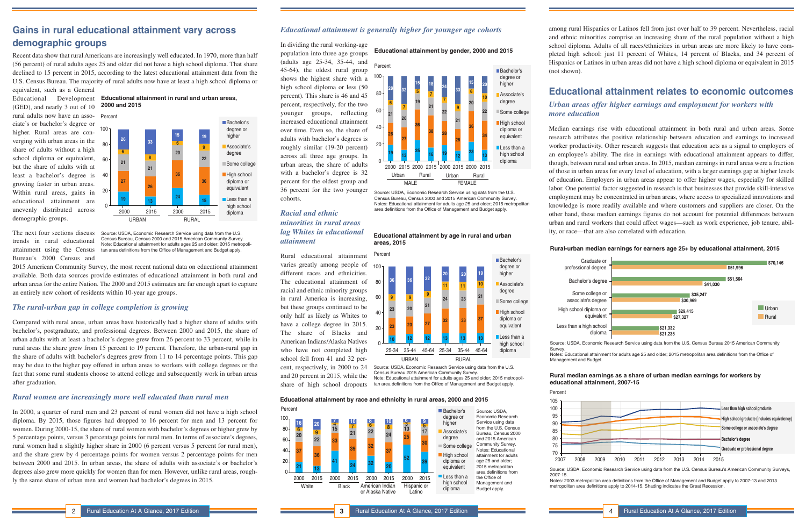### *Educational attainment is generally higher for younger age cohorts*

cohorts.

*Racial and ethnic* 

*minorities in rural areas lag Whites in educational* 

*attainment*

different races and ethnicities.

and 20 percent in 2015, while the share of high school dropouts among rural Hispanics or Latinos fell from just over half to 39 percent. Nevertheless, racial and ethnic minorities comprise an increasing share of the rural population without a high school diploma. Adults of all races/ethnicities in urban areas are more likely to have completed high school: just 11 percent of Whites, 14 percent of Blacks, and 34 percent of Hispanics or Latinos in urban areas did not have a high school diploma or equivalent in 2015

(not shown).

## **Educational attainment relates to economic outcomes**

# *Urban areas offer higher earnings and employment for workers with*

*more education*

Median earnings rise with educational attainment in both rural and urban areas. Some research attributes the positive relationship between education and earnings to increased worker productivity. Other research suggests that education acts as a signal to employers of an employee's ability. The rise in earnings with educational attainment appears to differ, though, between rural and urban areas. In 2015, median earnings in rural areas were a fraction of those in urban areas for every level of education, with a larger earnings gap at higher levels of education. Employers in urban areas appear to offer higher wages, especially for skilled labor. One potential factor suggested in research is that businesses that provide skill-intensive employment may be concentrated in urban areas, where access to specialized innovations and knowledge is more readily available and where customers and suppliers are closer. On the other hand, these median earnings figures do not account for potential differences between urban and rural workers that could affect wages—such as work experience, job tenure, ability, or race—that are also correlated with education.

# **Gains in rural educational attainment vary across demographic groups**

Educational Development **Educational attainment in rural and urban areas**, **2000 and 2015**

Recent data show that rural Americans are increasingly well educated. In 1970, more than half (56 percent) of rural adults ages 25 and older did not have a high school diploma. That share declined to 15 percent in 2015, according to the latest educational attainment data from the U.S. Census Bureau. The majority of rural adults now have at least a high school diploma or In dividing the rural working-age population into three age groups **Educational attainment by gender, 2000 and 2015**



equivalent, such as a General (GED), and nearly 3 out of 10 rural adults now have an associate's or bachelor's degree or higher. Rural areas are converging with urban areas in the share of adults without a high school diploma or equivalent, but the share of adults with at least a bachelor's degree is growing faster in urban areas. Within rural areas, gains in educational attainment are unevenly distributed across demographic groups.

The next four sections discuss trends in rural educational attainment using the Census Bureau's 2000 Census and

2015 American Community Survey, the most recent national data on educational attainment available. Both data sources provide estimates of educational attainment in both rural and urban areas for the entire Nation. The 2000 and 2015 estimates are far enough apart to capture an entirely new cohort of residents within 10-year age groups.



### *The rural-urban gap in college completion is growing*

Compared with rural areas, urban areas have historically had a higher share of adults with bachelor's, postgraduate, and professional degrees. Between 2000 and 2015, the share of urban adults with at least a bachelor's degree grew from 26 percent to 33 percent, while in rural areas the share grew from 15 percent to 19 percent. Therefore, the urban-rural gap in the share of adults with bachelor's degrees grew from 11 to 14 percentage points. This gap may be due to the higher pay offered in urban areas to workers with college degrees or the fact that some rural students choose to attend college and subsequently work in urban areas after graduation.

### *Rural women are increasingly more well educated than rural men*

In 2000, a quarter of rural men and 23 percent of rural women did not have a high school diploma. By 2015, those figures had dropped to 16 percent for men and 13 percent for women. During 2000-15, the share of rural women with bachelor's degrees or higher grew by 5 percentage points, versus 3 percentage points for rural men. In terms of associate's degrees, rural women had a slightly higher share in 2000 (6 percent versus 5 percent for rural men), and the share grew by 4 percentage points for women versus 2 percentage points for men between 2000 and 2015. In urban areas, the share of adults with associate's or bachelor's degrees also grew more quickly for women than for men. However, unlike rural areas, roughly the same share of urban men and women had bachelor's degrees in 2015.

Source: USDA, Economic Research Service using data from the U.S. Census Bureau, Census 2000 and 2015 American Community Survey. Note: Educational attainment for adults ages 25 and older; 2015 metropolitan area definitions from the Office of Management and Budget apply.



Source: USDA, Economic Research Service using data from the U.S. Census Bureau, Census 2000 and 2015 American Community Survey. Notes: Educational attainment for adults age 25 and older; 2015 metropolitan area definitions from the Office of Management and Budget apply.

### **Educational attainment by age in rural and urban areas, 2015**

Census Bureau 2015 American Community Survey. Note: Educational attainment for adults ages 25 and older; 2015 metropolitan area definitions from the Office of Management and Budget apply.

### **Educational attainment by race and ethnicity in rural areas, 2000 and 2015**



### **Rural-urban median earnings for earners age 25+ by educational attainment, 2015**

Source: USDA, Economic Research Service using data from the U.S. Census Bureau 2015 American Community

Survey. Notes: Educational attainment for adults age 25 and older; 2015 metropolitan area definitions from the Office of Management and Budget.

Bachelor's degree



professional degree

High school diploma or

### **Rural median earnings as a share of urban median earnings for workers by educational attainment, 2007-15**

Source: USDA, Economic Research Service using data from the U.S. Census Bureau's American Community Surveys,

2007-15.

Notes: 2003 metropolitan area definitions from the Office of Management and Budget apply to 2007-13 and 2013 metropolitan area definitions apply to 2014-15. Shading indicates the Great Recession.



Percent